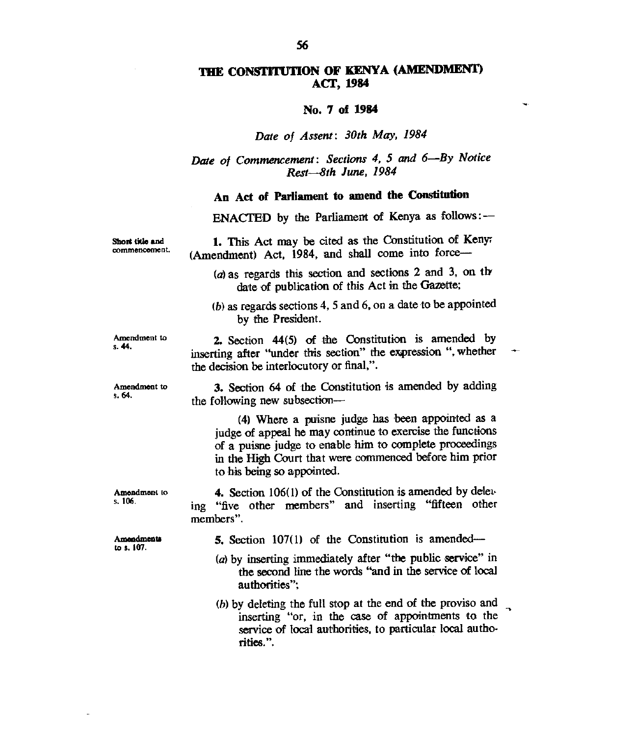# **THE CONSTITUTION OF KENYA (AMENDMENT) ACT, 1984**

#### **No. 7 of 1984**

### Date of Assent: 30th May, 1984

Date of Commencement: Sections 4, 5 and 6—By Notice Rest-8th June, 1984

# **An Act of Parliament to amend the Constitution**

**ENACTED** by the Parliament of Kenya as follows: —

1. This Act may be cited as the Constitution of Keny (Amendment) Act, 1984, and shall come into force—

 $(a)$  as regards this section and sections 2 and 3, on the date of publication of this Act in the Gazette;

 $(b)$  as regards sections 4, 5 and 6, on a date to be appointed by the President.

**2.** Section 44(5) of the Constitution is amended by inserting after "under this section" the expression ", whether

Amendment to s. **44.** 

**Short title and**  commencement.

**Amendment to s. 64.** 

**3.** Section 64 of the Constitution is amended by adding the following new subsection—

(4) Where a puisne judge has been appointed as a judge of appeal he may continue to exercise the functions of a puisne judge to enable him to complete proceedings in the High Court that were commenced before him prior to his being so appointed.

**Amendment to s. 106. 4.** Section 106(1) of the Constitution is amended by deleting "five other members" and inserting "fifteen other members".

the decision be interlocutory or final,".

**Amendments to** a. 107.

**5.** Section 107(1) of the Constitution is amended—

- (a) by inserting immediately after "the public service" in the second line the words "and in the service of local authorities";
- (h) by deleting the full stop at the end of the proviso and inserting "or, in the case of appointments to the service of local authorities, to particular local authorities.".